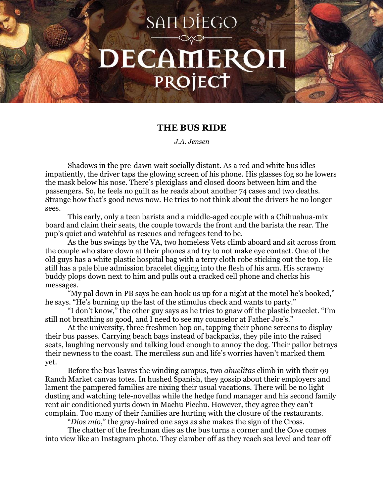## **SANDIEGO** DECAMEROI PROJECT

## **THE BUS RIDE**

*J.A. Jensen*

Shadows in the pre-dawn wait socially distant. As a red and white bus idles impatiently, the driver taps the glowing screen of his phone. His glasses fog so he lowers the mask below his nose. There's plexiglass and closed doors between him and the passengers. So, he feels no guilt as he reads about another 74 cases and two deaths. Strange how that's good news now. He tries to not think about the drivers he no longer sees.

This early, only a teen barista and a middle-aged couple with a Chihuahua-mix board and claim their seats, the couple towards the front and the barista the rear. The pup's quiet and watchful as rescues and refugees tend to be.

As the bus swings by the VA, two homeless Vets climb aboard and sit across from the couple who stare down at their phones and try to not make eye contact. One of the old guys has a white plastic hospital bag with a terry cloth robe sticking out the top. He still has a pale blue admission bracelet digging into the flesh of his arm. His scrawny buddy plops down next to him and pulls out a cracked cell phone and checks his messages.

"My pal down in PB says he can hook us up for a night at the motel he's booked," he says. "He's burning up the last of the stimulus check and wants to party."

"I don't know," the other guy says as he tries to gnaw off the plastic bracelet. "I'm still not breathing so good, and I need to see my counselor at Father Joe's."

At the university, three freshmen hop on, tapping their phone screens to display their bus passes. Carrying beach bags instead of backpacks, they pile into the raised seats, laughing nervously and talking loud enough to annoy the dog. Their pallor betrays their newness to the coast. The merciless sun and life's worries haven't marked them yet.

Before the bus leaves the winding campus, two *abuelitas* climb in with their 99 Ranch Market canvas totes. In hushed Spanish, they gossip about their employers and lament the pampered families are nixing their usual vacations. There will be no light dusting and watching tele-novellas while the hedge fund manager and his second family rent air conditioned yurts down in Machu Picchu. However, they agree they can't complain. Too many of their families are hurting with the closure of the restaurants.

"*Dios mio*," the gray-haired one says as she makes the sign of the Cross.

The chatter of the freshman dies as the bus turns a corner and the Cove comes into view like an Instagram photo. They clamber off as they reach sea level and tear off